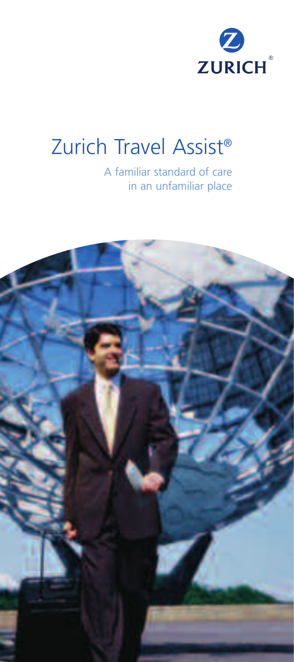

# Zurich Travel Assist®

A familiar standard of care in an unfamiliar place

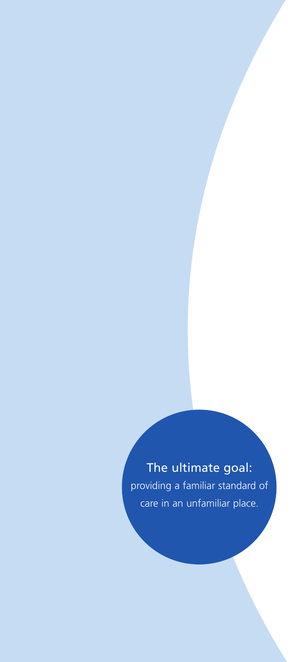The ultimate goal: providing a familiar standard of care in an unfamiliar place.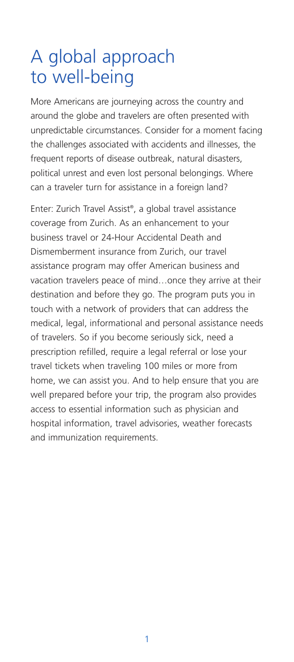### A global approach to well-being

More Americans are journeying across the country and around the globe and travelers are often presented with unpredictable circumstances. Consider for a moment facing the challenges associated with accidents and illnesses, the frequent reports of disease outbreak, natural disasters, political unrest and even lost personal belongings. Where can a traveler turn for assistance in a foreign land?

Enter: Zurich Travel Assist®, a global travel assistance coverage from Zurich. As an enhancement to your business travel or 24-Hour Accidental Death and Dismemberment insurance from Zurich, our travel assistance program may offer American business and vacation travelers peace of mind…once they arrive at their destination and before they go. The program puts you in touch with a network of providers that can address the medical, legal, informational and personal assistance needs of travelers. So if you become seriously sick, need a prescription refilled, require a legal referral or lose your travel tickets when traveling 100 miles or more from home, we can assist you. And to help ensure that you are well prepared before your trip, the program also provides access to essential information such as physician and hospital information, travel advisories, weather forecasts and immunization requirements.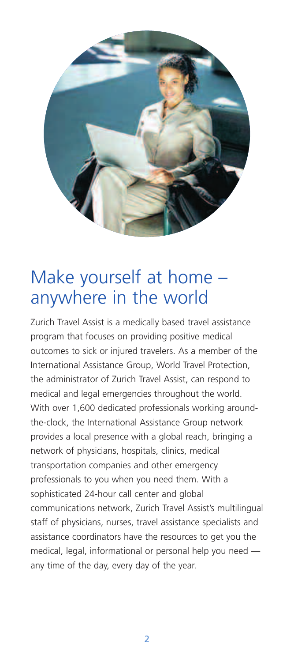

### Make yourself at home – anywhere in the world

Zurich Travel Assist is a medically based travel assistance program that focuses on providing positive medical outcomes to sick or injured travelers. As a member of the International Assistance Group, World Travel Protection, the administrator of Zurich Travel Assist, can respond to medical and legal emergencies throughout the world. With over 1,600 dedicated professionals working aroundthe-clock, the International Assistance Group network provides a local presence with a global reach, bringing a network of physicians, hospitals, clinics, medical transportation companies and other emergency professionals to you when you need them. With a sophisticated 24-hour call center and global communications network, Zurich Travel Assist's multilingual staff of physicians, nurses, travel assistance specialists and assistance coordinators have the resources to get you the medical, legal, informational or personal help you need any time of the day, every day of the year.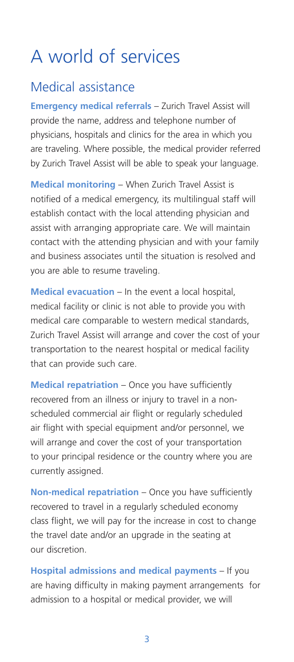## A world of services

#### Medical assistance

**Emergency medical referrals** - Zurich Travel Assist will provide the name, address and telephone number of physicians, hospitals and clinics for the area in which you are traveling. Where possible, the medical provider referred by Zurich Travel Assist will be able to speak your language.

**Medical monitoring** – When Zurich Travel Assist is notified of a medical emergency, its multilingual staff will establish contact with the local attending physician and assist with arranging appropriate care. We will maintain contact with the attending physician and with your family and business associates until the situation is resolved and you are able to resume traveling.

**Medical evacuation** – In the event a local hospital, medical facility or clinic is not able to provide you with medical care comparable to western medical standards, Zurich Travel Assist will arrange and cover the cost of your transportation to the nearest hospital or medical facility that can provide such care.

**Medical repatriation** – Once you have sufficiently recovered from an illness or injury to travel in a nonscheduled commercial air flight or regularly scheduled air flight with special equipment and/or personnel, we will arrange and cover the cost of your transportation to your principal residence or the country where you are currently assigned.

**Non-medical repatriation** – Once you have sufficiently recovered to travel in a regularly scheduled economy class flight, we will pay for the increase in cost to change the travel date and/or an upgrade in the seating at our discretion.

**Hospital admissions and medical payments** – If you are having difficulty in making payment arrangements for admission to a hospital or medical provider, we will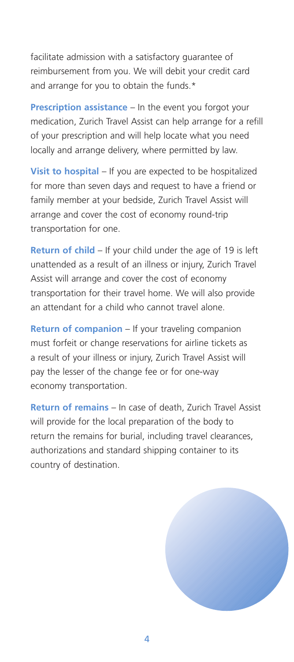facilitate admission with a satisfactory guarantee of reimbursement from you. We will debit your credit card and arrange for you to obtain the funds.\*

**Prescription assistance** – In the event you forgot your medication, Zurich Travel Assist can help arrange for a refill of your prescription and will help locate what you need locally and arrange delivery, where permitted by law.

**Visit to hospital** – If you are expected to be hospitalized for more than seven days and request to have a friend or family member at your bedside, Zurich Travel Assist will arrange and cover the cost of economy round-trip transportation for one.

**Return of child** – If your child under the age of 19 is left unattended as a result of an illness or injury, Zurich Travel Assist will arrange and cover the cost of economy transportation for their travel home. We will also provide an attendant for a child who cannot travel alone.

**Return of companion** – If your traveling companion must forfeit or change reservations for airline tickets as a result of your illness or injury, Zurich Travel Assist will pay the lesser of the change fee or for one-way economy transportation.

**Return of remains** – In case of death, Zurich Travel Assist will provide for the local preparation of the body to return the remains for burial, including travel clearances, authorizations and standard shipping container to its country of destination.



4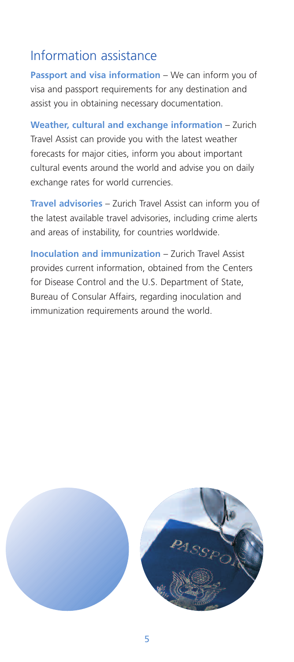### Information assistance

**Passport and visa information** – We can inform you of visa and passport requirements for any destination and assist you in obtaining necessary documentation.

**Weather, cultural and exchange information** – Zurich Travel Assist can provide you with the latest weather forecasts for major cities, inform you about important cultural events around the world and advise you on daily exchange rates for world currencies.

**Travel advisories** – Zurich Travel Assist can inform you of the latest available travel advisories, including crime alerts and areas of instability, for countries worldwide.

**Inoculation and immunization** – Zurich Travel Assist provides current information, obtained from the Centers for Disease Control and the U.S. Department of State, Bureau of Consular Affairs, regarding inoculation and immunization requirements around the world.

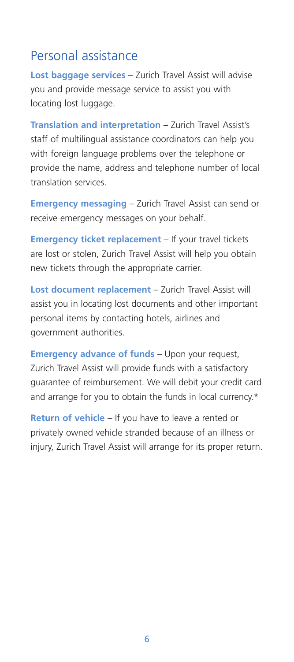### Personal assistance

**Lost baggage services** – Zurich Travel Assist will advise you and provide message service to assist you with locating lost luggage.

**Translation and interpretation** – Zurich Travel Assist's staff of multilingual assistance coordinators can help you with foreign language problems over the telephone or provide the name, address and telephone number of local translation services.

**Emergency messaging** – Zurich Travel Assist can send or receive emergency messages on your behalf.

**Emergency ticket replacement** – If your travel tickets are lost or stolen, Zurich Travel Assist will help you obtain new tickets through the appropriate carrier.

**Lost document replacement** – Zurich Travel Assist will assist you in locating lost documents and other important personal items by contacting hotels, airlines and government authorities.

**Emergency advance of funds** – Upon your request, Zurich Travel Assist will provide funds with a satisfactory guarantee of reimbursement. We will debit your credit card and arrange for you to obtain the funds in local currency.\*

**Return of vehicle** – If you have to leave a rented or privately owned vehicle stranded because of an illness or injury, Zurich Travel Assist will arrange for its proper return.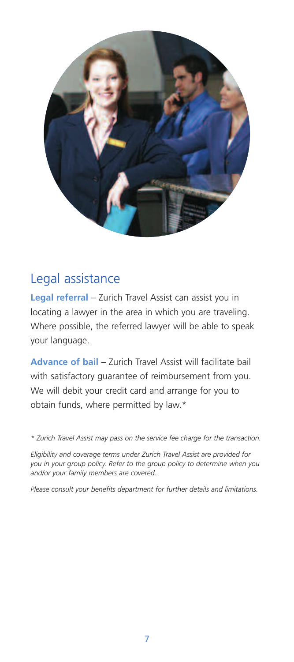

#### Legal assistance

**Legal referral** – Zurich Travel Assist can assist you in locating a lawyer in the area in which you are traveling. Where possible, the referred lawyer will be able to speak your language.

**Advance of bail** – Zurich Travel Assist will facilitate bail with satisfactory guarantee of reimbursement from you. We will debit your credit card and arrange for you to obtain funds, where permitted by law.\*

*\* Zurich Travel Assist may pass on the service fee charge for the transaction.*

*Eligibility and coverage terms under Zurich Travel Assist are provided for you in your group policy. Refer to the group policy to determine when you and/or your family members are covered.* 

*Please consult your benefits department for further details and limitations.*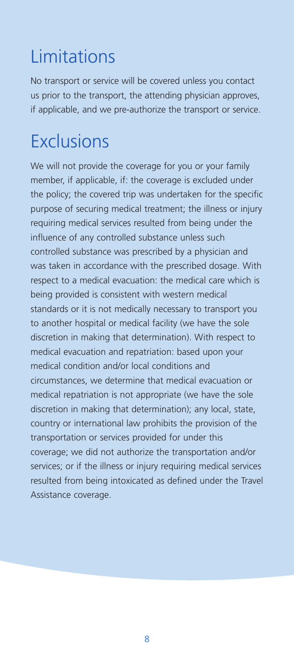# Limitations

No transport or service will be covered unless you contact us prior to the transport, the attending physician approves, if applicable, and we pre-authorize the transport or service.

# **Exclusions**

We will not provide the coverage for you or your family member, if applicable, if: the coverage is excluded under the policy; the covered trip was undertaken for the specific purpose of securing medical treatment; the illness or injury requiring medical services resulted from being under the influence of any controlled substance unless such controlled substance was prescribed by a physician and was taken in accordance with the prescribed dosage. With respect to a medical evacuation: the medical care which is being provided is consistent with western medical standards or it is not medically necessary to transport you to another hospital or medical facility (we have the sole discretion in making that determination). With respect to medical evacuation and repatriation: based upon your medical condition and/or local conditions and circumstances, we determine that medical evacuation or medical repatriation is not appropriate (we have the sole discretion in making that determination); any local, state, country or international law prohibits the provision of the transportation or services provided for under this coverage; we did not authorize the transportation and/or services; or if the illness or injury requiring medical services resulted from being intoxicated as defined under the Travel Assistance coverage.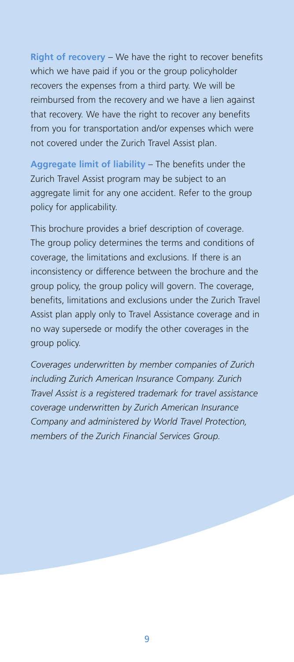**Right of recovery** – We have the right to recover benefits which we have paid if you or the group policyholder recovers the expenses from a third party. We will be reimbursed from the recovery and we have a lien against that recovery. We have the right to recover any benefits from you for transportation and/or expenses which were not covered under the Zurich Travel Assist plan.

**Aggregate limit of liability** – The benefits under the Zurich Travel Assist program may be subject to an aggregate limit for any one accident. Refer to the group policy for applicability.

This brochure provides a brief description of coverage. The group policy determines the terms and conditions of coverage, the limitations and exclusions. If there is an inconsistency or difference between the brochure and the group policy, the group policy will govern. The coverage, benefits, limitations and exclusions under the Zurich Travel Assist plan apply only to Travel Assistance coverage and in no way supersede or modify the other coverages in the group policy.

*Coverages underwritten by member companies of Zurich including Zurich American Insurance Company. Zurich Travel Assist is a registered trademark for travel assistance coverage underwritten by Zurich American Insurance Company and administered by World Travel Protection, members of the Zurich Financial Services Group.*